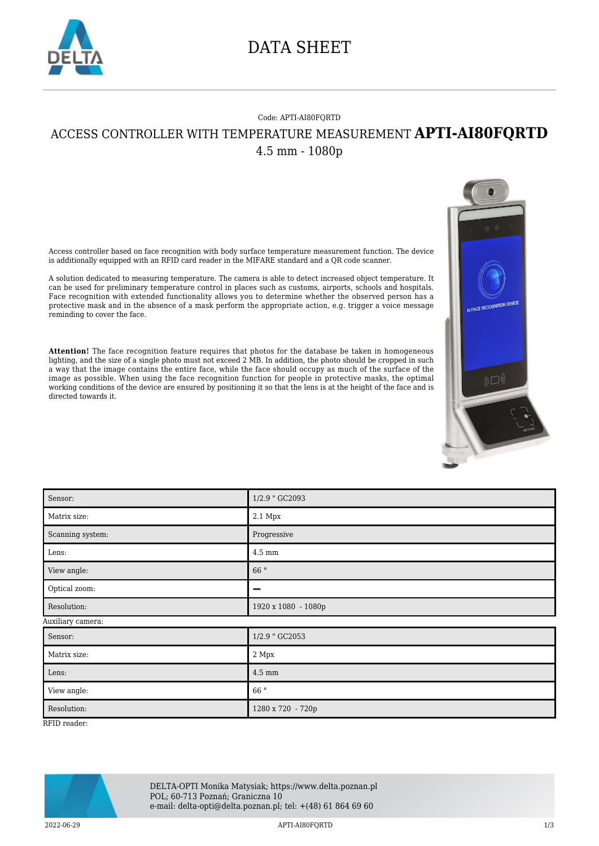

## DATA SHEET

## Code: APTI-AI80FQRTD ACCESS CONTROLLER WITH TEMPERATURE MEASUREMENT **APTI-AI80FQRTD** 4.5 mm - 1080p

Access controller based on face recognition with body surface temperature measurement function. The device is additionally equipped with an RFID card reader in the MIFARE standard and a QR code scanner.

A solution dedicated to measuring temperature. The camera is able to detect increased object temperature. It can be used for preliminary temperature control in places such as customs, airports, schools and hospitals. Face recognition with extended functionality allows you to determine whether the observed person has a protective mask and in the absence of a mask perform the appropriate action, e.g. trigger a voice message reminding to cover the face.

**Attention!** The face recognition feature requires that photos for the database be taken in homogeneous lighting, and the size of a single photo must not exceed 2 MB. In addition, the photo should be cropped in such a way that the image contains the entire face, while the face should occupy as much of the surface of the image as possible. When using the face recognition function for people in protective masks, the optimal working conditions of the device are ensured by positioning it so that the lens is at the height of the face and is directed to

| working contributions of the device are ensured by positioning to so that the follo to do me height of the rate to<br>directed towards it. |                     |
|--------------------------------------------------------------------------------------------------------------------------------------------|---------------------|
| Sensor:                                                                                                                                    | 1/2.9 " GC2093      |
| Matrix size:                                                                                                                               | $2.1\ \mathrm{Mpx}$ |
| Scanning system:                                                                                                                           | Progressive         |
| Lens:                                                                                                                                      | $4.5\;\mathrm{mm}$  |
| View angle:                                                                                                                                | $66$ $^{\circ}$     |
| Optical zoom:                                                                                                                              | -                   |
| Resolution:                                                                                                                                | 1920 x 1080 - 1080p |
| Auxiliary camera:                                                                                                                          |                     |
| Sensor:                                                                                                                                    | 1/2.9 " GC2053      |
| Matrix size:                                                                                                                               | $2\ \mathrm{Mpx}$   |
| Lens:                                                                                                                                      | $4.5\;\mathrm{mm}$  |
| View angle:                                                                                                                                | 66°                 |
| Resolution:                                                                                                                                | 1280 x 720 - 720p   |

RFID reader:



2022-06-29 APTI-AI80FQRTD 1/3

<sub>n</sub>pag

M⊐≬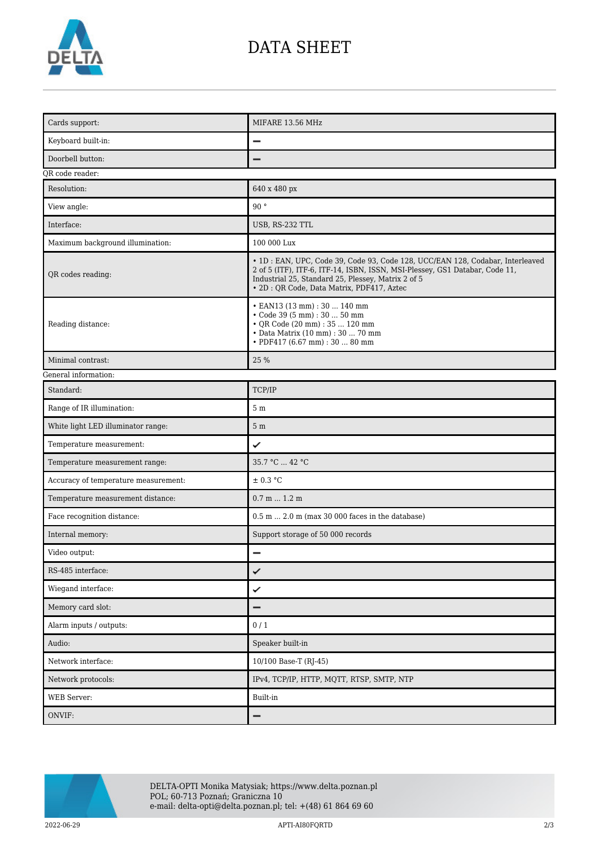

## DATA SHEET

| Cards support:                       | MIFARE 13.56 MHz                                                                                                                                                                                                                                                  |  |
|--------------------------------------|-------------------------------------------------------------------------------------------------------------------------------------------------------------------------------------------------------------------------------------------------------------------|--|
| Keyboard built-in:                   |                                                                                                                                                                                                                                                                   |  |
| Doorbell button:                     |                                                                                                                                                                                                                                                                   |  |
| QR code reader:                      |                                                                                                                                                                                                                                                                   |  |
| Resolution:                          | 640 x 480 px                                                                                                                                                                                                                                                      |  |
| View angle:                          | 90°                                                                                                                                                                                                                                                               |  |
| Interface:                           | USB, RS-232 TTL                                                                                                                                                                                                                                                   |  |
| Maximum background illumination:     | 100 000 Lux                                                                                                                                                                                                                                                       |  |
| QR codes reading:                    | · 1D : EAN, UPC, Code 39, Code 93, Code 128, UCC/EAN 128, Codabar, Interleaved<br>2 of 5 (ITF), ITF-6, ITF-14, ISBN, ISSN, MSI-Plessey, GS1 Databar, Code 11,<br>Industrial 25, Standard 25, Plessey, Matrix 2 of 5<br>· 2D : QR Code, Data Matrix, PDF417, Aztec |  |
| Reading distance:                    | • EAN13 (13 mm): 30  140 mm<br>• Code 39 (5 mm) : 30  50 mm<br>• QR Code (20 mm) : 35  120 mm<br>• Data Matrix (10 mm) : 30  70 mm<br>• PDF417 (6.67 mm) : 30  80 mm                                                                                              |  |
| Minimal contrast:                    | 25 %                                                                                                                                                                                                                                                              |  |
| General information:                 |                                                                                                                                                                                                                                                                   |  |
| Standard:                            | TCP/IP                                                                                                                                                                                                                                                            |  |
| Range of IR illumination:            | $5m$                                                                                                                                                                                                                                                              |  |
| White light LED illuminator range:   | 5 <sub>m</sub>                                                                                                                                                                                                                                                    |  |
| Temperature measurement:             | ✓                                                                                                                                                                                                                                                                 |  |
| Temperature measurement range:       | 35.7 °C  42 °C                                                                                                                                                                                                                                                    |  |
| Accuracy of temperature measurement: | ± 0.3 °C                                                                                                                                                                                                                                                          |  |
| Temperature measurement distance:    | $0.7$ m $1.2$ m                                                                                                                                                                                                                                                   |  |
| Face recognition distance:           | $0.5$ m $2.0$ m (max 30 000 faces in the database)                                                                                                                                                                                                                |  |
| Internal memory:                     | Support storage of 50 000 records                                                                                                                                                                                                                                 |  |
| Video output:                        | $\overline{\phantom{0}}$                                                                                                                                                                                                                                          |  |
| RS-485 interface:                    | ✓                                                                                                                                                                                                                                                                 |  |
| Wiegand interface:                   | ✓                                                                                                                                                                                                                                                                 |  |
| Memory card slot:                    | -                                                                                                                                                                                                                                                                 |  |
| Alarm inputs / outputs:              | 0/1                                                                                                                                                                                                                                                               |  |
| Audio:                               | Speaker built-in                                                                                                                                                                                                                                                  |  |
| Network interface:                   | 10/100 Base-T (RJ-45)                                                                                                                                                                                                                                             |  |
| Network protocols:                   | IPv4, TCP/IP, HTTP, MQTT, RTSP, SMTP, NTP                                                                                                                                                                                                                         |  |
| WEB Server:                          | Built-in                                                                                                                                                                                                                                                          |  |
| ONVIF:                               | -                                                                                                                                                                                                                                                                 |  |